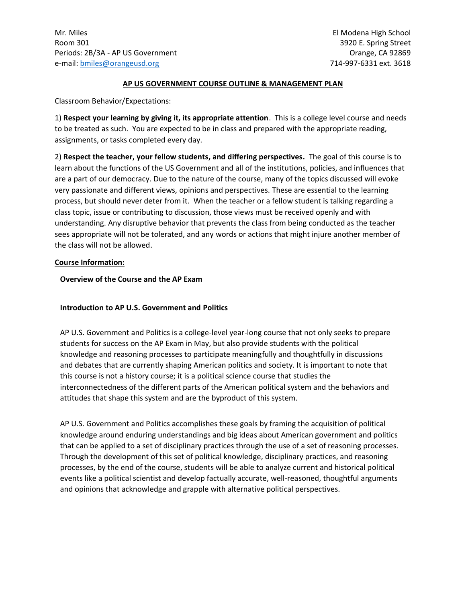#### **AP US GOVERNMENT COURSE OUTLINE & MANAGEMENT PLAN**

#### Classroom Behavior/Expectations:

1) **Respect your learning by giving it, its appropriate attention**. This is a college level course and needs to be treated as such. You are expected to be in class and prepared with the appropriate reading, assignments, or tasks completed every day.

2) **Respect the teacher, your fellow students, and differing perspectives.** The goal of this course is to learn about the functions of the US Government and all of the institutions, policies, and influences that are a part of our democracy. Due to the nature of the course, many of the topics discussed will evoke very passionate and different views, opinions and perspectives. These are essential to the learning process, but should never deter from it. When the teacher or a fellow student is talking regarding a class topic, issue or contributing to discussion, those views must be received openly and with understanding. Any disruptive behavior that prevents the class from being conducted as the teacher sees appropriate will not be tolerated, and any words or actions that might injure another member of the class will not be allowed.

#### **Course Information:**

### **Overview of the Course and the AP Exam**

# **Introduction to AP U.S. Government and Politics**

AP U.S. Government and Politics is a college-level year-long course that not only seeks to prepare students for success on the AP Exam in May, but also provide students with the political knowledge and reasoning processes to participate meaningfully and thoughtfully in discussions and debates that are currently shaping American politics and society. It is important to note that this course is not a history course; it is a political science course that studies the interconnectedness of the different parts of the American political system and the behaviors and attitudes that shape this system and are the byproduct of this system.

AP U.S. Government and Politics accomplishes these goals by framing the acquisition of political knowledge around enduring understandings and big ideas about American government and politics that can be applied to a set of disciplinary practices through the use of a set of reasoning processes. Through the development of this set of political knowledge, disciplinary practices, and reasoning processes, by the end of the course, students will be able to analyze current and historical political events like a political scientist and develop factually accurate, well-reasoned, thoughtful arguments and opinions that acknowledge and grapple with alternative political perspectives.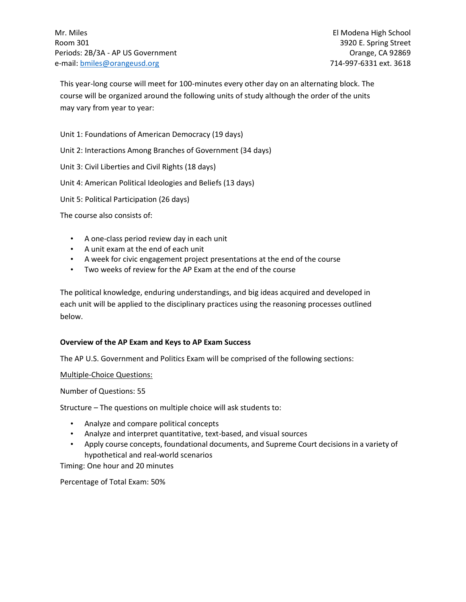This year-long course will meet for 100-minutes every other day on an alternating block. The course will be organized around the following units of study although the order of the units may vary from year to year:

Unit 1: Foundations of American Democracy (19 days)

Unit 2: Interactions Among Branches of Government (34 days)

Unit 3: Civil Liberties and Civil Rights (18 days)

Unit 4: American Political Ideologies and Beliefs (13 days)

Unit 5: Political Participation (26 days)

The course also consists of:

- A one-class period review day in each unit
- A unit exam at the end of each unit
- A week for civic engagement project presentations at the end of the course
- Two weeks of review for the AP Exam at the end of the course

The political knowledge, enduring understandings, and big ideas acquired and developed in each unit will be applied to the disciplinary practices using the reasoning processes outlined below.

#### **Overview of the AP Exam and Keys to AP Exam Success**

The AP U.S. Government and Politics Exam will be comprised of the following sections:

Multiple-Choice Questions:

Number of Questions: 55

Structure – The questions on multiple choice will ask students to:

- Analyze and compare political concepts
- Analyze and interpret quantitative, text-based, and visual sources
- Apply course concepts, foundational documents, and Supreme Court decisions in a variety of hypothetical and real-world scenarios

Timing: One hour and 20 minutes

Percentage of Total Exam: 50%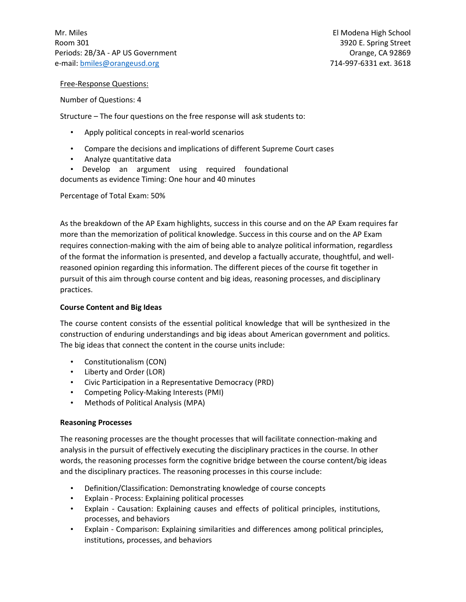Free-Response Questions:

Number of Questions: 4

Structure – The four questions on the free response will ask students to:

- Apply political concepts in real-world scenarios
- Compare the decisions and implications of different Supreme Court cases
- Analyze quantitative data
- Develop an argument using required foundational documents as evidence Timing: One hour and 40 minutes

Percentage of Total Exam: 50%

As the breakdown of the AP Exam highlights, success in this course and on the AP Exam requires far more than the memorization of political knowledge. Success in this course and on the AP Exam requires connection-making with the aim of being able to analyze political information, regardless of the format the information is presented, and develop a factually accurate, thoughtful, and wellreasoned opinion regarding this information. The different pieces of the course fit together in pursuit of this aim through course content and big ideas, reasoning processes, and disciplinary practices.

# **Course Content and Big Ideas**

The course content consists of the essential political knowledge that will be synthesized in the construction of enduring understandings and big ideas about American government and politics. The big ideas that connect the content in the course units include:

- Constitutionalism (CON)
- Liberty and Order (LOR)
- Civic Participation in a Representative Democracy (PRD)
- Competing Policy-Making Interests (PMI)
- Methods of Political Analysis (MPA)

# **Reasoning Processes**

The reasoning processes are the thought processes that will facilitate connection-making and analysis in the pursuit of effectively executing the disciplinary practices in the course. In other words, the reasoning processes form the cognitive bridge between the course content/big ideas and the disciplinary practices. The reasoning processes in this course include:

- Definition/Classification: Demonstrating knowledge of course concepts
- Explain Process: Explaining political processes
- Explain Causation: Explaining causes and effects of political principles, institutions, processes, and behaviors
- Explain Comparison: Explaining similarities and differences among political principles, institutions, processes, and behaviors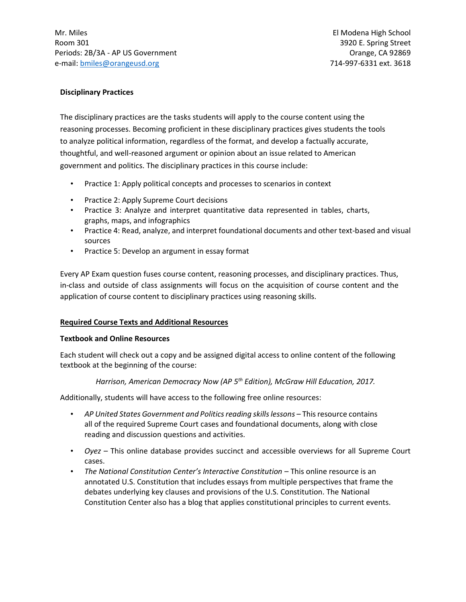### **Disciplinary Practices**

The disciplinary practices are the tasks students will apply to the course content using the reasoning processes. Becoming proficient in these disciplinary practices gives students the tools to analyze political information, regardless of the format, and develop a factually accurate, thoughtful, and well-reasoned argument or opinion about an issue related to American government and politics. The disciplinary practices in this course include:

- Practice 1: Apply political concepts and processes to scenarios in context
- Practice 2: Apply Supreme Court decisions
- Practice 3: Analyze and interpret quantitative data represented in tables, charts, graphs, maps, and infographics
- Practice 4: Read, analyze, and interpret foundational documents and other text-based and visual sources
- Practice 5: Develop an argument in essay format

Every AP Exam question fuses course content, reasoning processes, and disciplinary practices. Thus, in-class and outside of class assignments will focus on the acquisition of course content and the application of course content to disciplinary practices using reasoning skills.

# **Required Course Texts and Additional Resources**

#### **Textbook and Online Resources**

Each student will check out a copy and be assigned digital access to online content of the following textbook at the beginning of the course:

*Harrison, American Democracy Now (AP 5th Edition), McGraw Hill Education, 2017.*

Additionally, students will have access to the following free online resources:

- AP United States Government and Politics reading skills lessons This resource contains all of the required Supreme Court cases and foundational documents, along with close reading and discussion questions and activities.
- *Oyez*  This online database provides succinct and accessible overviews for all Supreme Court cases.
- The National Constitution Center's Interactive Constitution This online resource is an annotated U.S. Constitution that includes essays from multiple perspectives that frame the debates underlying key clauses and provisions of the U.S. Constitution. The National Constitution Center also has a blog that applies constitutional principles to current events.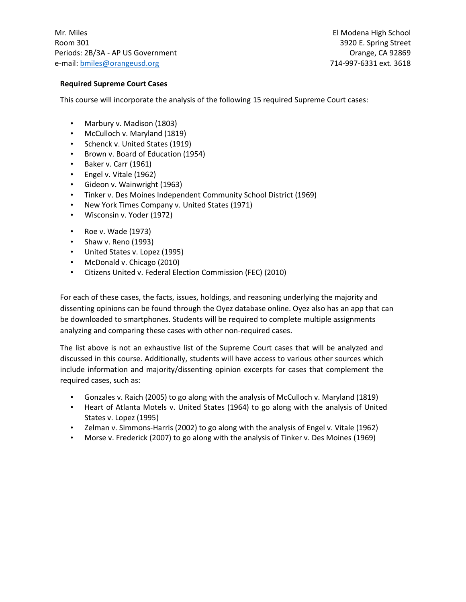# **Required Supreme Court Cases**

This course will incorporate the analysis of the following 15 required Supreme Court cases:

- Marbury v. Madison (1803)
- McCulloch v. Maryland (1819)
- Schenck v. United States (1919)
- Brown v. Board of Education (1954)
- Baker v. Carr (1961)
- Engel v. Vitale (1962)
- Gideon v. Wainwright (1963)
- Tinker v. Des Moines Independent Community School District (1969)
- New York Times Company v. United States (1971)
- Wisconsin v. Yoder (1972)
- Roe v. Wade (1973)
- Shaw v. Reno (1993)
- United States v. Lopez (1995)
- McDonald v. Chicago (2010)
- Citizens United v. Federal Election Commission (FEC) (2010)

For each of these cases, the facts, issues, holdings, and reasoning underlying the majority and dissenting opinions can be found through the Oyez database online. Oyez also has an app that can be downloaded to smartphones. Students will be required to complete multiple assignments analyzing and comparing these cases with other non-required cases.

The list above is not an exhaustive list of the Supreme Court cases that will be analyzed and discussed in this course. Additionally, students will have access to various other sources which include information and majority/dissenting opinion excerpts for cases that complement the required cases, such as:

- Gonzales v. Raich (2005) to go along with the analysis of McCulloch v. Maryland (1819)
- Heart of Atlanta Motels v. United States (1964) to go along with the analysis of United States v. Lopez (1995)
- Zelman v. Simmons-Harris (2002) to go along with the analysis of Engel v. Vitale (1962)
- Morse v. Frederick (2007) to go along with the analysis of Tinker v. Des Moines (1969)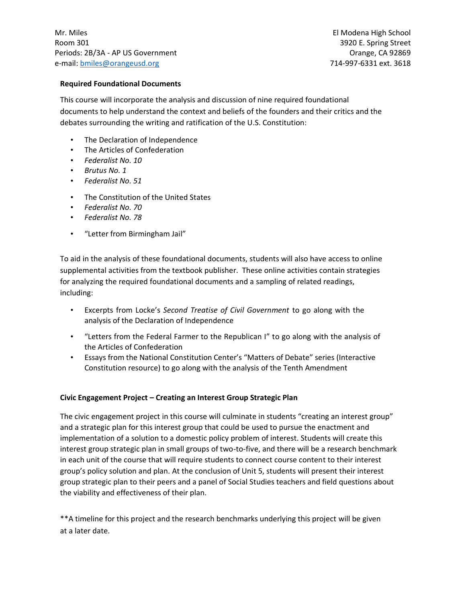### **Required Foundational Documents**

This course will incorporate the analysis and discussion of nine required foundational documents to help understand the context and beliefs of the founders and their critics and the debates surrounding the writing and ratification of the U.S. Constitution:

- The Declaration of Independence
- The Articles of Confederation
- *Federalist No. 10*
- *Brutus No. 1*
- *Federalist No. 51*
- The Constitution of the United States
- *Federalist No. 70*
- *Federalist No. 78*
- "Letter from Birmingham Jail"

To aid in the analysis of these foundational documents, students will also have access to online supplemental activities from the textbook publisher. These online activities contain strategies for analyzing the required foundational documents and a sampling of related readings, including:

- Excerpts from Locke's *Second Treatise of Civil Government* to go along with the analysis of the Declaration of Independence
- "Letters from the Federal Farmer to the Republican I" to go along with the analysis of the Articles of Confederation
- Essays from the National Constitution Center's "Matters of Debate" series (Interactive Constitution resource) to go along with the analysis of the Tenth Amendment

# **Civic Engagement Project – Creating an Interest Group Strategic Plan**

The civic engagement project in this course will culminate in students "creating an interest group" and a strategic plan for this interest group that could be used to pursue the enactment and implementation of a solution to a domestic policy problem of interest. Students will create this interest group strategic plan in small groups of two-to-five, and there will be a research benchmark in each unit of the course that will require students to connect course content to their interest group's policy solution and plan. At the conclusion of Unit 5, students will present their interest group strategic plan to their peers and a panel of Social Studies teachers and field questions about the viability and effectiveness of their plan.

\*\*A timeline for this project and the research benchmarks underlying this project will be given at a later date.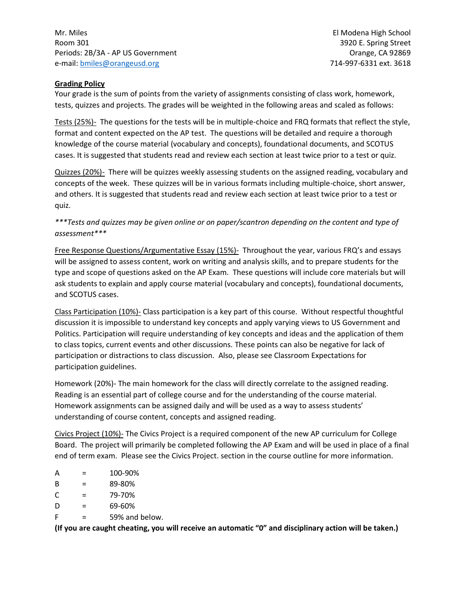# **Grading Policy**

Your grade is the sum of points from the variety of assignments consisting of class work, homework, tests, quizzes and projects. The grades will be weighted in the following areas and scaled as follows:

Tests (25%)- The questions for the tests will be in multiple-choice and FRQ formats that reflect the style, format and content expected on the AP test. The questions will be detailed and require a thorough knowledge of the course material (vocabulary and concepts), foundational documents, and SCOTUS cases. It is suggested that students read and review each section at least twice prior to a test or quiz.

Quizzes (20%)- There will be quizzes weekly assessing students on the assigned reading, vocabulary and concepts of the week. These quizzes will be in various formats including multiple-choice, short answer, and others. It is suggested that students read and review each section at least twice prior to a test or quiz.

# *\*\*\*Tests and quizzes may be given online or on paper/scantron depending on the content and type of assessment\*\*\**

Free Response Questions/Argumentative Essay (15%)- Throughout the year, various FRQ's and essays will be assigned to assess content, work on writing and analysis skills, and to prepare students for the type and scope of questions asked on the AP Exam. These questions will include core materials but will ask students to explain and apply course material (vocabulary and concepts), foundational documents, and SCOTUS cases.

Class Participation (10%)- Class participation is a key part of this course. Without respectful thoughtful discussion it is impossible to understand key concepts and apply varying views to US Government and Politics. Participation will require understanding of key concepts and ideas and the application of them to class topics, current events and other discussions. These points can also be negative for lack of participation or distractions to class discussion. Also, please see Classroom Expectations for participation guidelines.

Homework (20%)- The main homework for the class will directly correlate to the assigned reading. Reading is an essential part of college course and for the understanding of the course material. Homework assignments can be assigned daily and will be used as a way to assess students' understanding of course content, concepts and assigned reading.

Civics Project (10%)- The Civics Project is a required component of the new AP curriculum for College Board. The project will primarily be completed following the AP Exam and will be used in place of a final end of term exam. Please see the Civics Project. section in the course outline for more information.

- $A = 100-90%$
- $B = 89-80%$
- $C = 79-70%$
- $D = 69-60%$
- $F = 59\%$  and below.

**(If you are caught cheating, you will receive an automatic "0" and disciplinary action will be taken.)**